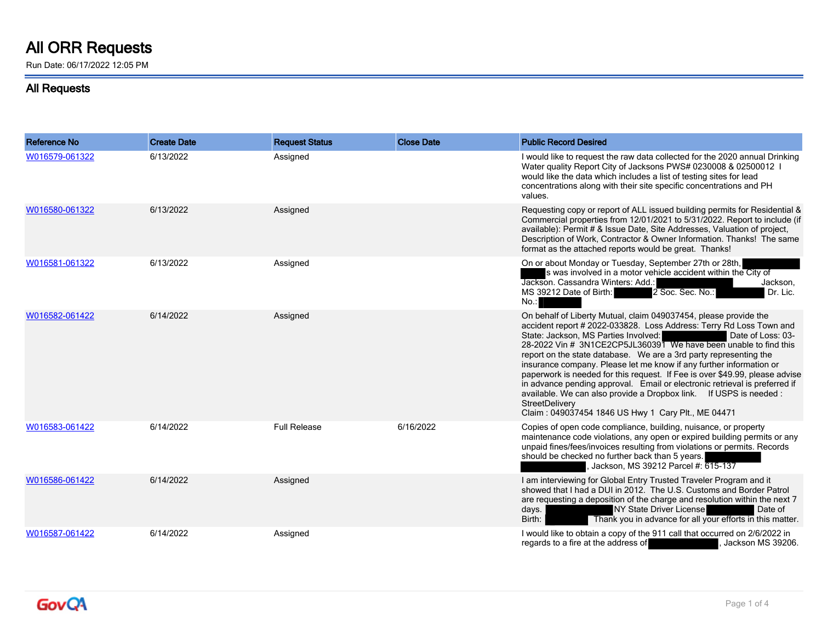## **All ORR Requests**

Run Date: 06/17/2022 12:05 PM

## **All Requests**

| Reference No   | <b>Create Date</b> | <b>Request Status</b> | <b>Close Date</b> | <b>Public Record Desired</b>                                                                                                                                                                                                                                                                                                                                                                                                                                                                                                                                                                                                                                                                                                    |
|----------------|--------------------|-----------------------|-------------------|---------------------------------------------------------------------------------------------------------------------------------------------------------------------------------------------------------------------------------------------------------------------------------------------------------------------------------------------------------------------------------------------------------------------------------------------------------------------------------------------------------------------------------------------------------------------------------------------------------------------------------------------------------------------------------------------------------------------------------|
| W016579-061322 | 6/13/2022          | Assigned              |                   | I would like to request the raw data collected for the 2020 annual Drinking<br>Water quality Report City of Jacksons PWS# 0230008 & 02500012 I<br>would like the data which includes a list of testing sites for lead<br>concentrations along with their site specific concentrations and PH<br>values.                                                                                                                                                                                                                                                                                                                                                                                                                         |
| W016580-061322 | 6/13/2022          | Assigned              |                   | Requesting copy or report of ALL issued building permits for Residential &<br>Commercial properties from 12/01/2021 to 5/31/2022. Report to include (if<br>available): Permit # & Issue Date, Site Addresses, Valuation of project,<br>Description of Work, Contractor & Owner Information. Thanks! The same<br>format as the attached reports would be great. Thanks!                                                                                                                                                                                                                                                                                                                                                          |
| W016581-061322 | 6/13/2022          | Assigned              |                   | On or about Monday or Tuesday, September 27th or 28th,<br>s was involved in a motor vehicle accident within the City of<br>Jackson. Cassandra Winters: Add.:<br>Jackson,<br>MS 39212 Date of Birth:<br>2 Soc. Sec. No.:<br>Dr. Lic.<br>No.                                                                                                                                                                                                                                                                                                                                                                                                                                                                                      |
| W016582-061422 | 6/14/2022          | Assigned              |                   | On behalf of Liberty Mutual, claim 049037454, please provide the<br>accident report # 2022-033828. Loss Address: Terry Rd Loss Town and<br>State: Jackson, MS Parties Involved:<br>Date of Loss: 03-<br>28-2022 Vin # 3N1CE2CP5JL360391 We have been unable to find this<br>report on the state database. We are a 3rd party representing the<br>insurance company. Please let me know if any further information or<br>paperwork is needed for this request. If Fee is over \$49.99, please advise<br>in advance pending approval. Email or electronic retrieval is preferred if<br>available. We can also provide a Dropbox link. If USPS is needed :<br>StreetDelivery<br>Claim: 049037454 1846 US Hwy 1 Cary Plt., ME 04471 |
| W016583-061422 | 6/14/2022          | <b>Full Release</b>   | 6/16/2022         | Copies of open code compliance, building, nuisance, or property<br>maintenance code violations, any open or expired building permits or any<br>unpaid fines/fees/invoices resulting from violations or permits. Records<br>should be checked no further back than 5 years.<br>Jackson, MS 39212 Parcel #: 615-137                                                                                                                                                                                                                                                                                                                                                                                                               |
| W016586-061422 | 6/14/2022          | Assigned              |                   | I am interviewing for Global Entry Trusted Traveler Program and it<br>showed that I had a DUI in 2012. The U.S. Customs and Border Patrol<br>are requesting a deposition of the charge and resolution within the next 7<br>NY State Driver License<br>Date of<br>days.<br>Thank you in advance for all your efforts in this matter.<br>Birth:                                                                                                                                                                                                                                                                                                                                                                                   |
| W016587-061422 | 6/14/2022          | Assigned              |                   | I would like to obtain a copy of the 911 call that occurred on 2/6/2022 in<br>regards to a fire at the address of<br>Jackson MS 39206.                                                                                                                                                                                                                                                                                                                                                                                                                                                                                                                                                                                          |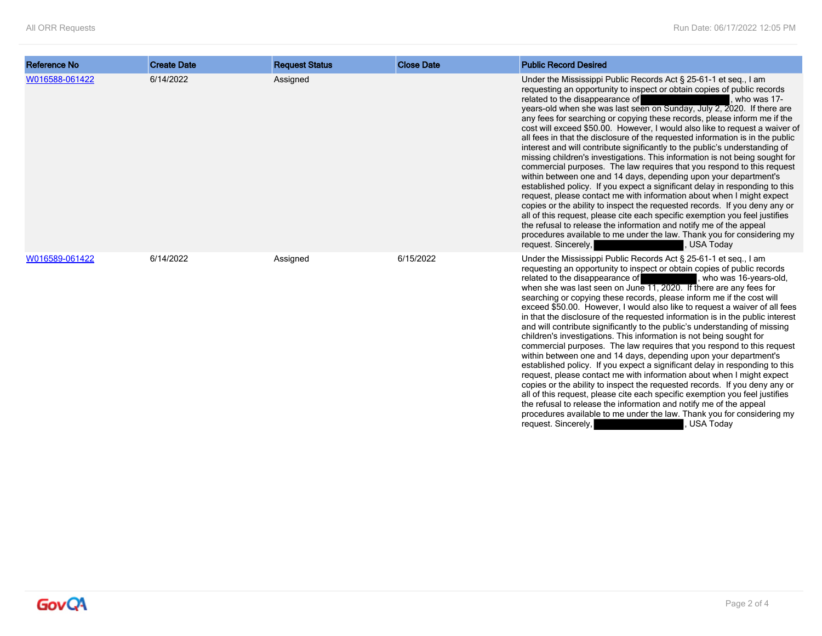| <b>Reference No</b> | <b>Create Date</b> | <b>Request Status</b> | <b>Close Date</b> | <b>Public Record Desired</b>                                                                                                                                                                                                                                                                                                                                                                                                                                                                                                                                                                                                                                                                                                                                                                                                                                                                                                                                                                                                                                                                                                                                                                                                                                                                                                                    |
|---------------------|--------------------|-----------------------|-------------------|-------------------------------------------------------------------------------------------------------------------------------------------------------------------------------------------------------------------------------------------------------------------------------------------------------------------------------------------------------------------------------------------------------------------------------------------------------------------------------------------------------------------------------------------------------------------------------------------------------------------------------------------------------------------------------------------------------------------------------------------------------------------------------------------------------------------------------------------------------------------------------------------------------------------------------------------------------------------------------------------------------------------------------------------------------------------------------------------------------------------------------------------------------------------------------------------------------------------------------------------------------------------------------------------------------------------------------------------------|
| W016588-061422      | 6/14/2022          | Assigned              |                   | Under the Mississippi Public Records Act § 25-61-1 et seq., I am<br>requesting an opportunity to inspect or obtain copies of public records<br>related to the disappearance of<br>who was 17-<br>years-old when she was last seen on Sunday, July 2, 2020. If there are<br>any fees for searching or copying these records, please inform me if the<br>cost will exceed \$50.00. However, I would also like to request a waiver of<br>all fees in that the disclosure of the requested information is in the public<br>interest and will contribute significantly to the public's understanding of<br>missing children's investigations. This information is not being sought for<br>commercial purposes. The law requires that you respond to this request<br>within between one and 14 days, depending upon your department's<br>established policy. If you expect a significant delay in responding to this<br>request, please contact me with information about when I might expect<br>copies or the ability to inspect the requested records. If you deny any or<br>all of this request, please cite each specific exemption you feel justifies<br>the refusal to release the information and notify me of the appeal<br>procedures available to me under the law. Thank you for considering my<br>request. Sincerely,<br><b>USA Today</b> |
| W016589-061422      | 6/14/2022          | Assigned              | 6/15/2022         | Under the Mississippi Public Records Act § 25-61-1 et seq., I am<br>requesting an opportunity to inspect or obtain copies of public records<br>related to the disappearance of<br>, who was 16-years-old,<br>when she was last seen on June 11, 2020. If there are any fees for<br>searching or copying these records, please inform me if the cost will<br>exceed \$50.00. However, I would also like to request a waiver of all fees<br>in that the disclosure of the requested information is in the public interest<br>and will contribute significantly to the public's understanding of missing<br>children's investigations. This information is not being sought for<br>commercial purposes. The law requires that you respond to this request<br>within between one and 14 days, depending upon your department's<br>established policy. If you expect a significant delay in responding to this<br>request, please contact me with information about when I might expect<br>copies or the ability to inspect the requested records. If you deny any or<br>all of this request, please cite each specific exemption you feel justifies<br>the refusal to release the information and notify me of the appeal<br>procedures available to me under the law. Thank you for considering my<br><b>USA Today</b><br>request. Sincerely,      |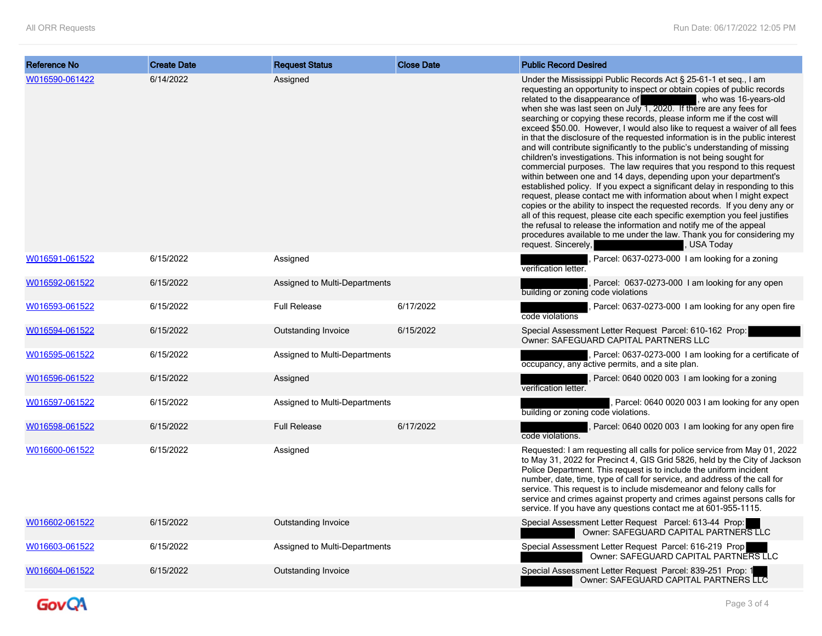| Reference No   | <b>Create Date</b> | <b>Request Status</b>         | <b>Close Date</b> | <b>Public Record Desired</b>                                                                                                                                                                                                                                                                                                                                                                                                                                                                                                                                                                                                                                                                                                                                                                                                                                                                                                                                                                                                                                                                                                                                                                                                                                                                                                           |
|----------------|--------------------|-------------------------------|-------------------|----------------------------------------------------------------------------------------------------------------------------------------------------------------------------------------------------------------------------------------------------------------------------------------------------------------------------------------------------------------------------------------------------------------------------------------------------------------------------------------------------------------------------------------------------------------------------------------------------------------------------------------------------------------------------------------------------------------------------------------------------------------------------------------------------------------------------------------------------------------------------------------------------------------------------------------------------------------------------------------------------------------------------------------------------------------------------------------------------------------------------------------------------------------------------------------------------------------------------------------------------------------------------------------------------------------------------------------|
| W016590-061422 | 6/14/2022          | Assigned                      |                   | Under the Mississippi Public Records Act § 25-61-1 et seq., I am<br>requesting an opportunity to inspect or obtain copies of public records<br>related to the disappearance of<br>, who was 16-years-old<br>when she was last seen on July $1, 2020$ . If there are any fees for<br>searching or copying these records, please inform me if the cost will<br>exceed \$50.00. However, I would also like to request a waiver of all fees<br>in that the disclosure of the requested information is in the public interest<br>and will contribute significantly to the public's understanding of missing<br>children's investigations. This information is not being sought for<br>commercial purposes. The law requires that you respond to this request<br>within between one and 14 days, depending upon your department's<br>established policy. If you expect a significant delay in responding to this<br>request, please contact me with information about when I might expect<br>copies or the ability to inspect the requested records. If you deny any or<br>all of this request, please cite each specific exemption you feel justifies<br>the refusal to release the information and notify me of the appeal<br>procedures available to me under the law. Thank you for considering my<br>request. Sincerely,<br>, USA Today |
| W016591-061522 | 6/15/2022          | Assigned                      |                   | Parcel: 0637-0273-000 1 am looking for a zoning<br>verification letter.                                                                                                                                                                                                                                                                                                                                                                                                                                                                                                                                                                                                                                                                                                                                                                                                                                                                                                                                                                                                                                                                                                                                                                                                                                                                |
| W016592-061522 | 6/15/2022          | Assigned to Multi-Departments |                   | Parcel: 0637-0273-000 I am looking for any open<br>building or zoning code violations                                                                                                                                                                                                                                                                                                                                                                                                                                                                                                                                                                                                                                                                                                                                                                                                                                                                                                                                                                                                                                                                                                                                                                                                                                                  |
| W016593-061522 | 6/15/2022          | <b>Full Release</b>           | 6/17/2022         | Parcel: 0637-0273-000 1 am looking for any open fire<br>code violations                                                                                                                                                                                                                                                                                                                                                                                                                                                                                                                                                                                                                                                                                                                                                                                                                                                                                                                                                                                                                                                                                                                                                                                                                                                                |
| W016594-061522 | 6/15/2022          | Outstanding Invoice           | 6/15/2022         | Special Assessment Letter Request Parcel: 610-162 Prop:<br>Owner: SAFEGUARD CAPITAL PARTNERS LLC                                                                                                                                                                                                                                                                                                                                                                                                                                                                                                                                                                                                                                                                                                                                                                                                                                                                                                                                                                                                                                                                                                                                                                                                                                       |
| W016595-061522 | 6/15/2022          | Assigned to Multi-Departments |                   | Parcel: 0637-0273-000 I am looking for a certificate of<br>occupancy, any active permits, and a site plan.                                                                                                                                                                                                                                                                                                                                                                                                                                                                                                                                                                                                                                                                                                                                                                                                                                                                                                                                                                                                                                                                                                                                                                                                                             |
| W016596-061522 | 6/15/2022          | Assigned                      |                   | Parcel: 0640 0020 003 1 am looking for a zoning<br>verification letter.                                                                                                                                                                                                                                                                                                                                                                                                                                                                                                                                                                                                                                                                                                                                                                                                                                                                                                                                                                                                                                                                                                                                                                                                                                                                |
| W016597-061522 | 6/15/2022          | Assigned to Multi-Departments |                   | Parcel: 0640 0020 003 I am looking for any open<br>building or zoning code violations.                                                                                                                                                                                                                                                                                                                                                                                                                                                                                                                                                                                                                                                                                                                                                                                                                                                                                                                                                                                                                                                                                                                                                                                                                                                 |
| W016598-061522 | 6/15/2022          | <b>Full Release</b>           | 6/17/2022         | Parcel: 0640 0020 003 1 am looking for any open fire<br>code violations.                                                                                                                                                                                                                                                                                                                                                                                                                                                                                                                                                                                                                                                                                                                                                                                                                                                                                                                                                                                                                                                                                                                                                                                                                                                               |
| W016600-061522 | 6/15/2022          | Assigned                      |                   | Requested: I am requesting all calls for police service from May 01, 2022<br>to May 31, 2022 for Precinct 4, GIS Grid 5826, held by the City of Jackson<br>Police Department. This request is to include the uniform incident<br>number, date, time, type of call for service, and address of the call for<br>service. This request is to include misdemeanor and felony calls for<br>service and crimes against property and crimes against persons calls for<br>service. If you have any questions contact me at 601-955-1115.                                                                                                                                                                                                                                                                                                                                                                                                                                                                                                                                                                                                                                                                                                                                                                                                       |
| W016602-061522 | 6/15/2022          | Outstanding Invoice           |                   | Special Assessment Letter Request Parcel: 613-44 Prop:<br>Owner: SAFEGUARD CAPITAL PARTNERS LLC                                                                                                                                                                                                                                                                                                                                                                                                                                                                                                                                                                                                                                                                                                                                                                                                                                                                                                                                                                                                                                                                                                                                                                                                                                        |
| W016603-061522 | 6/15/2022          | Assigned to Multi-Departments |                   | Special Assessment Letter Request Parcel: 616-219 Prop<br>Owner: SAFEGUARD CAPITAL PARTNERS LLC                                                                                                                                                                                                                                                                                                                                                                                                                                                                                                                                                                                                                                                                                                                                                                                                                                                                                                                                                                                                                                                                                                                                                                                                                                        |
| W016604-061522 | 6/15/2022          | Outstanding Invoice           |                   | Special Assessment Letter Request Parcel: 839-251 Prop: 1<br>Owner: SAFEGUARD CAPITAL PARTNERS LLC                                                                                                                                                                                                                                                                                                                                                                                                                                                                                                                                                                                                                                                                                                                                                                                                                                                                                                                                                                                                                                                                                                                                                                                                                                     |